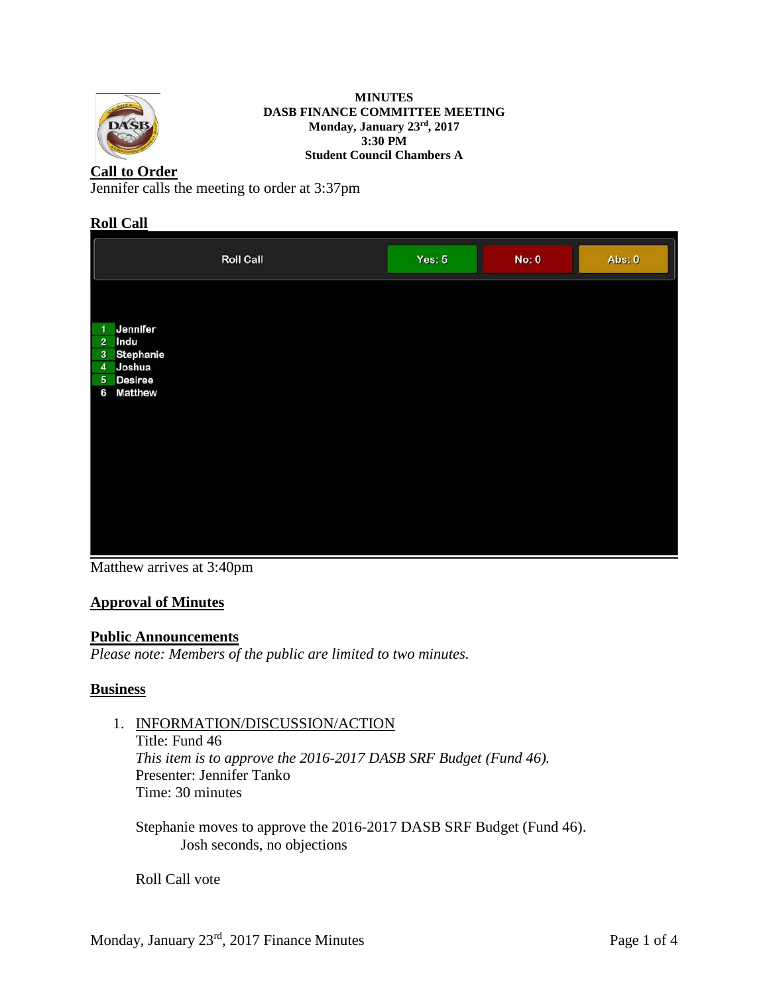

#### **MINUTES DASB FINANCE COMMITTEE MEETING Monday, January 23rd, 2017 3:30 PM Student Council Chambers A**

# **Call to Order**

Jennifer calls the meeting to order at 3:37pm

# **Roll Call**

|                                                                                                                      | <b>Roll Call</b> | Yes: $5$ | No: 0 | Abs: 0 |
|----------------------------------------------------------------------------------------------------------------------|------------------|----------|-------|--------|
| Jennifer<br>1<br>Indu<br>$\overline{2}$<br>Stephanie<br>$\mathbf{3}$<br>4 Joshua<br>5 Desiree<br><b>Matthew</b><br>6 |                  |          |       |        |

Matthew arrives at 3:40pm

# **Approval of Minutes**

### **Public Announcements**

*Please note: Members of the public are limited to two minutes.* 

### **Business**

### 1. INFORMATION/DISCUSSION/ACTION

Title: Fund 46 *This item is to approve the 2016-2017 DASB SRF Budget (Fund 46).* Presenter: Jennifer Tanko Time: 30 minutes

Stephanie moves to approve the 2016-2017 DASB SRF Budget (Fund 46). Josh seconds, no objections

Roll Call vote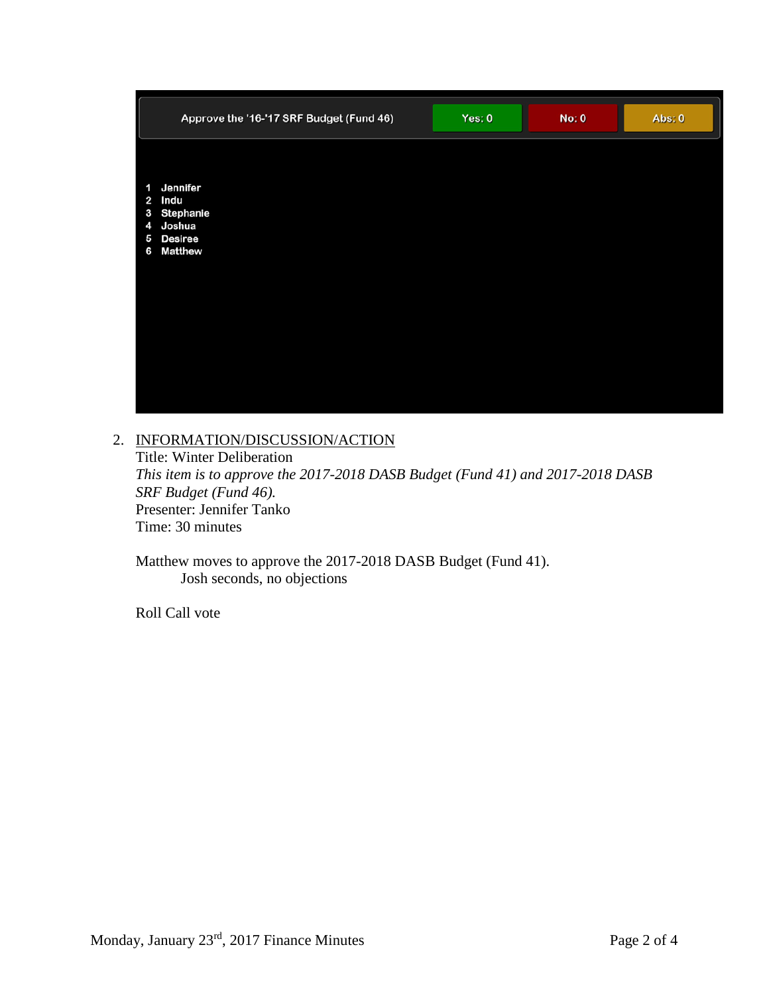|                                    | Approve the '16-'17 SRF Budget (Fund 46)                                      | Yes: 0 | <b>No: 0</b> | Abs: 0 |
|------------------------------------|-------------------------------------------------------------------------------|--------|--------------|--------|
| 1<br>$\overline{2}$<br>3<br>5<br>6 | Jennifer<br>Indu<br><b>Stephanie</b><br>4 Joshua<br><b>Desiree</b><br>Matthew |        |              |        |

# 2. INFORMATION/DISCUSSION/ACTION

Title: Winter Deliberation *This item is to approve the 2017-2018 DASB Budget (Fund 41) and 2017-2018 DASB SRF Budget (Fund 46).* Presenter: Jennifer Tanko Time: 30 minutes

Matthew moves to approve the 2017-2018 DASB Budget (Fund 41). Josh seconds, no objections

Roll Call vote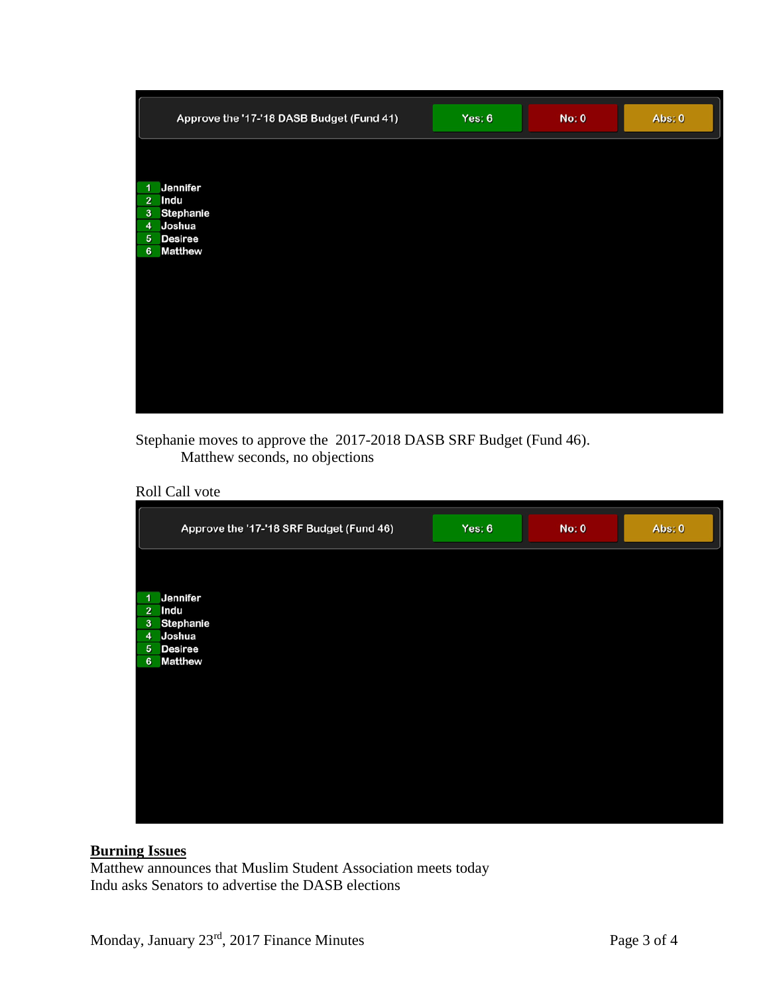| Approve the '17-'18 DASB Budget (Fund 41) | Yes: $6$ | <b>No: 0</b> | Abs: 0 |
|-------------------------------------------|----------|--------------|--------|
|                                           |          |              |        |
| Jennifer<br>$\overline{1}$                |          |              |        |
| 2 Indu<br>3 Stephanie                     |          |              |        |
| 4 Joshua                                  |          |              |        |
| 5 Desiree                                 |          |              |        |
| <b>Matthew</b><br>6 <sup>1</sup>          |          |              |        |
|                                           |          |              |        |
|                                           |          |              |        |
|                                           |          |              |        |
|                                           |          |              |        |
|                                           |          |              |        |
|                                           |          |              |        |
|                                           |          |              |        |
|                                           |          |              |        |
|                                           |          |              |        |
|                                           |          |              |        |

Stephanie moves to approve the 2017-2018 DASB SRF Budget (Fund 46). Matthew seconds, no objections

Roll Call vote

|                | Approve the '17-'18 SRF Budget (Fund 46) | Yes: $6$ | No: 0 | Abs: 0 |
|----------------|------------------------------------------|----------|-------|--------|
|                |                                          |          |       |        |
| 1              | <b>Jennifer</b>                          |          |       |        |
|                | 2 Indu                                   |          |       |        |
|                | 3 Stephanie<br>4 Joshua                  |          |       |        |
|                | 5 Desiree                                |          |       |        |
| 6 <sup>1</sup> | <b>Matthew</b>                           |          |       |        |
|                |                                          |          |       |        |
|                |                                          |          |       |        |
|                |                                          |          |       |        |
|                |                                          |          |       |        |
|                |                                          |          |       |        |
|                |                                          |          |       |        |
|                |                                          |          |       |        |
|                |                                          |          |       |        |
|                |                                          |          |       |        |
|                |                                          |          |       |        |
|                |                                          |          |       |        |

### **Burning Issues**

Matthew announces that Muslim Student Association meets today Indu asks Senators to advertise the DASB elections